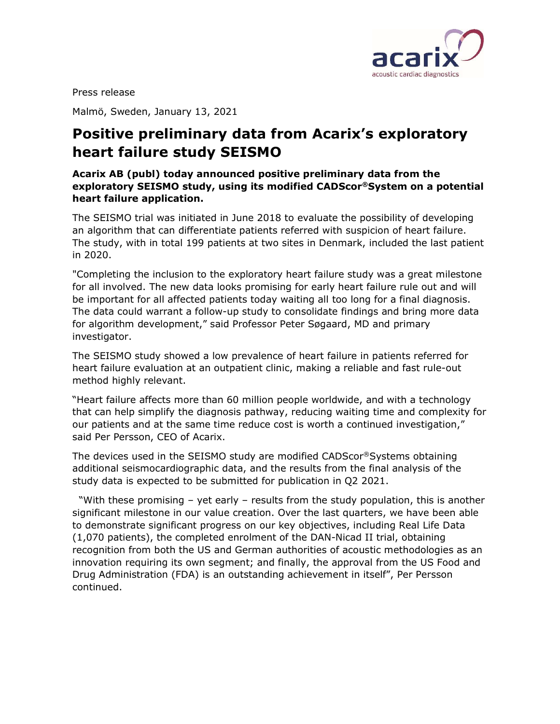

Press release

Malmö, Sweden, January 13, 2021

## Positive preliminary data from Acarix's exploratory heart failure study SEISMO

## Acarix AB (publ) today announced positive preliminary data from the exploratory SEISMO study, using its modified CADScor®System on a potential heart failure application.

The SEISMO trial was initiated in June 2018 to evaluate the possibility of developing an algorithm that can differentiate patients referred with suspicion of heart failure. The study, with in total 199 patients at two sites in Denmark, included the last patient in 2020.

"Completing the inclusion to the exploratory heart failure study was a great milestone for all involved. The new data looks promising for early heart failure rule out and will be important for all affected patients today waiting all too long for a final diagnosis. The data could warrant a follow-up study to consolidate findings and bring more data for algorithm development," said Professor Peter Søgaard, MD and primary investigator.

The SEISMO study showed a low prevalence of heart failure in patients referred for heart failure evaluation at an outpatient clinic, making a reliable and fast rule-out method highly relevant.

"Heart failure affects more than 60 million people worldwide, and with a technology that can help simplify the diagnosis pathway, reducing waiting time and complexity for our patients and at the same time reduce cost is worth a continued investigation," said Per Persson, CEO of Acarix.

The devices used in the SEISMO study are modified CADScor®Systems obtaining additional seismocardiographic data, and the results from the final analysis of the study data is expected to be submitted for publication in Q2 2021.

 "With these promising – yet early – results from the study population, this is another significant milestone in our value creation. Over the last quarters, we have been able to demonstrate significant progress on our key objectives, including Real Life Data (1,070 patients), the completed enrolment of the DAN-Nicad II trial, obtaining recognition from both the US and German authorities of acoustic methodologies as an innovation requiring its own segment; and finally, the approval from the US Food and Drug Administration (FDA) is an outstanding achievement in itself", Per Persson continued.